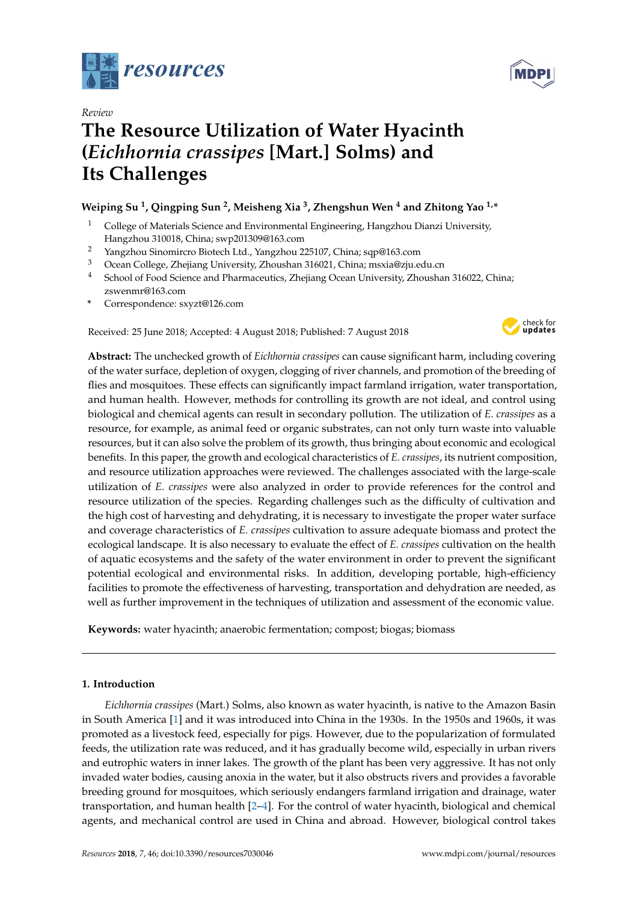

*Review*

# **MDP**

# **The Resource Utilization of Water Hyacinth (***Eichhornia crassipes* **[Mart.] Solms) and Its Challenges**

# **Weiping Su <sup>1</sup> , Qingping Sun <sup>2</sup> , Meisheng Xia <sup>3</sup> , Zhengshun Wen <sup>4</sup> and Zhitong Yao 1,\***

- <sup>1</sup> College of Materials Science and Environmental Engineering, Hangzhou Dianzi University, Hangzhou 310018, China; swp201309@163.com
- <sup>2</sup> Yangzhou Sinomircro Biotech Ltd., Yangzhou 225107, China; sqp@163.com
- <sup>3</sup> Ocean College, Zhejiang University, Zhoushan 316021, China; msxia@zju.edu.cn
- <sup>4</sup> School of Food Science and Pharmaceutics, Zhejiang Ocean University, Zhoushan 316022, China; zswenmr@163.com
- **\*** Correspondence: sxyzt@126.com

Received: 25 June 2018; Accepted: 4 August 2018; Published: 7 August 2018



**Abstract:** The unchecked growth of *Eichhornia crassipes* can cause significant harm, including covering of the water surface, depletion of oxygen, clogging of river channels, and promotion of the breeding of flies and mosquitoes. These effects can significantly impact farmland irrigation, water transportation, and human health. However, methods for controlling its growth are not ideal, and control using biological and chemical agents can result in secondary pollution. The utilization of *E. crassipes* as a resource, for example, as animal feed or organic substrates, can not only turn waste into valuable resources, but it can also solve the problem of its growth, thus bringing about economic and ecological benefits. In this paper, the growth and ecological characteristics of *E. crassipes*, its nutrient composition, and resource utilization approaches were reviewed. The challenges associated with the large-scale utilization of *E. crassipes* were also analyzed in order to provide references for the control and resource utilization of the species. Regarding challenges such as the difficulty of cultivation and the high cost of harvesting and dehydrating, it is necessary to investigate the proper water surface and coverage characteristics of *E. crassipes* cultivation to assure adequate biomass and protect the ecological landscape. It is also necessary to evaluate the effect of *E. crassipes* cultivation on the health of aquatic ecosystems and the safety of the water environment in order to prevent the significant potential ecological and environmental risks. In addition, developing portable, high-efficiency facilities to promote the effectiveness of harvesting, transportation and dehydration are needed, as well as further improvement in the techniques of utilization and assessment of the economic value.

**Keywords:** water hyacinth; anaerobic fermentation; compost; biogas; biomass

# **1. Introduction**

*Eichhornia crassipes* (Mart.) Solms, also known as water hyacinth, is native to the Amazon Basin in South America [\[1\]](#page-7-0) and it was introduced into China in the 1930s. In the 1950s and 1960s, it was promoted as a livestock feed, especially for pigs. However, due to the popularization of formulated feeds, the utilization rate was reduced, and it has gradually become wild, especially in urban rivers and eutrophic waters in inner lakes. The growth of the plant has been very aggressive. It has not only invaded water bodies, causing anoxia in the water, but it also obstructs rivers and provides a favorable breeding ground for mosquitoes, which seriously endangers farmland irrigation and drainage, water transportation, and human health [\[2–](#page-7-1)[4\]](#page-7-2). For the control of water hyacinth, biological and chemical agents, and mechanical control are used in China and abroad. However, biological control takes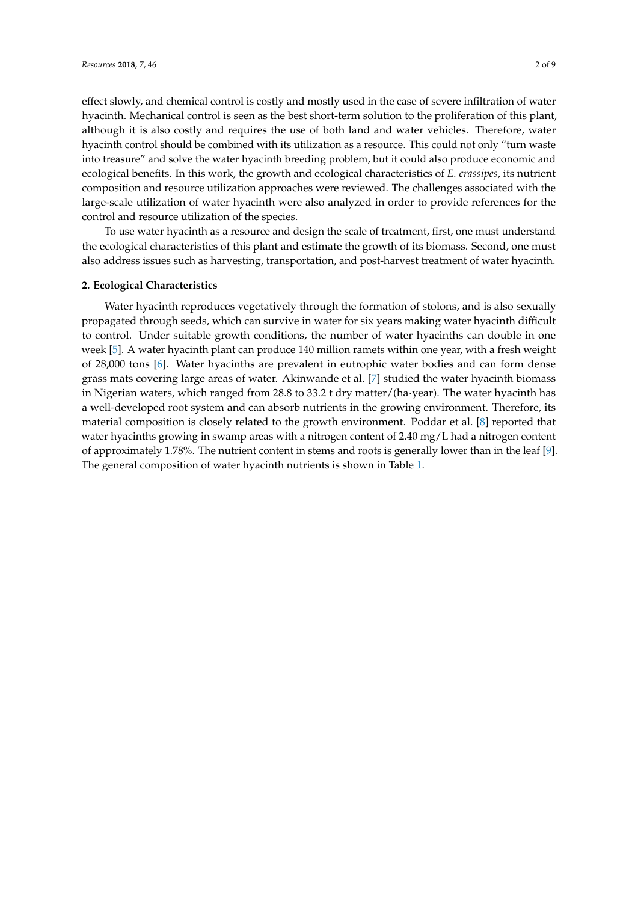effect slowly, and chemical control is costly and mostly used in the case of severe infiltration of water hyacinth. Mechanical control is seen as the best short-term solution to the proliferation of this plant, although it is also costly and requires the use of both land and water vehicles. Therefore, water hyacinth control should be combined with its utilization as a resource. This could not only "turn waste into treasure" and solve the water hyacinth breeding problem, but it could also produce economic and ecological benefits. In this work, the growth and ecological characteristics of *E. crassipes*, its nutrient composition and resource utilization approaches were reviewed. The challenges associated with the large-scale utilization of water hyacinth were also analyzed in order to provide references for the control and resource utilization of the species.

To use water hyacinth as a resource and design the scale of treatment, first, one must understand the ecological characteristics of this plant and estimate the growth of its biomass. Second, one must also address issues such as harvesting, transportation, and post-harvest treatment of water hyacinth.

#### **2. Ecological Characteristics**

Water hyacinth reproduces vegetatively through the formation of stolons, and is also sexually propagated through seeds, which can survive in water for six years making water hyacinth difficult to control. Under suitable growth conditions, the number of water hyacinths can double in one week [\[5\]](#page-7-3). A water hyacinth plant can produce 140 million ramets within one year, with a fresh weight of 28,000 tons [\[6\]](#page-7-4). Water hyacinths are prevalent in eutrophic water bodies and can form dense grass mats covering large areas of water. Akinwande et al. [\[7\]](#page-7-5) studied the water hyacinth biomass in Nigerian waters, which ranged from 28.8 to 33.2 t dry matter/(ha·year). The water hyacinth has a well-developed root system and can absorb nutrients in the growing environment. Therefore, its material composition is closely related to the growth environment. Poddar et al. [\[8\]](#page-7-6) reported that water hyacinths growing in swamp areas with a nitrogen content of 2.40 mg/L had a nitrogen content of approximately 1.78%. The nutrient content in stems and roots is generally lower than in the leaf [\[9\]](#page-7-7). The general composition of water hyacinth nutrients is shown in Table [1.](#page-2-0)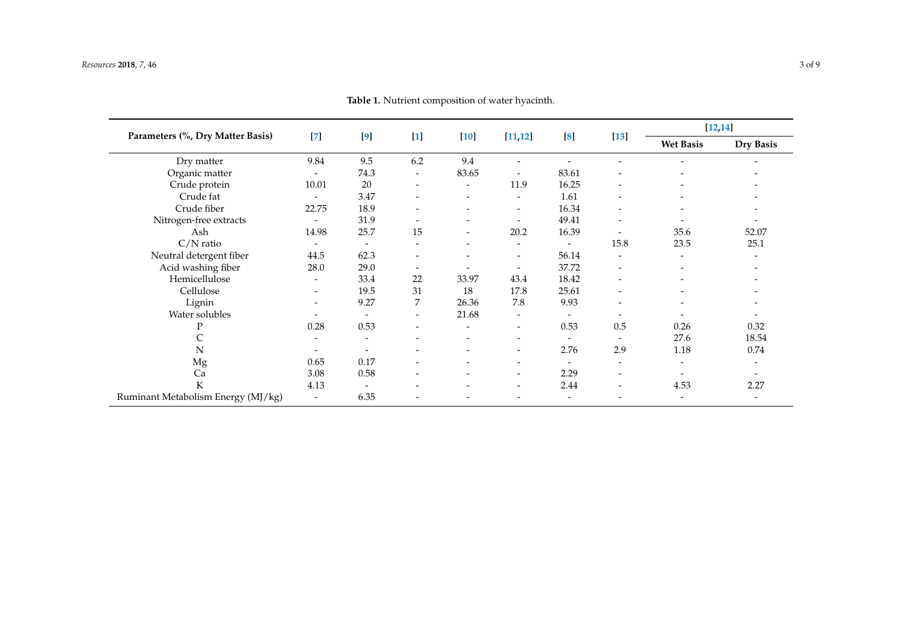<span id="page-2-0"></span>

| Parameters (%, Dry Matter Basis)   | $[7]$                    | $\left[9\right]$         | $[1]$                    | $[10]$                       | [11, 12]                 | $\lceil 8 \rceil$        | $[13]$                       | [12, 14]                 |           |
|------------------------------------|--------------------------|--------------------------|--------------------------|------------------------------|--------------------------|--------------------------|------------------------------|--------------------------|-----------|
|                                    |                          |                          |                          |                              |                          |                          |                              | <b>Wet Basis</b>         | Dry Basis |
| Dry matter                         | 9.84                     | 9.5                      | 6.2                      | 9.4                          |                          |                          |                              |                          |           |
| Organic matter                     | $\overline{\phantom{a}}$ | 74.3                     | $\overline{\phantom{a}}$ | 83.65                        |                          | 83.61                    |                              |                          |           |
| Crude protein                      | 10.01                    | 20                       | $\overline{\phantom{a}}$ | $\overline{\phantom{0}}$     | 11.9                     | 16.25                    | $\qquad \qquad \blacksquare$ |                          |           |
| Crude fat                          | $\overline{\phantom{a}}$ | 3.47                     | $\overline{\phantom{a}}$ | $\qquad \qquad \blacksquare$ | $\overline{\phantom{a}}$ | 1.61                     | $\overline{\phantom{0}}$     |                          |           |
| Crude fiber                        | 22.75                    | 18.9                     |                          | $\qquad \qquad \blacksquare$ | $\overline{\phantom{a}}$ | 16.34                    |                              |                          |           |
| Nitrogen-free extracts             | $\overline{\phantom{a}}$ | 31.9                     | $\overline{\phantom{a}}$ | $\qquad \qquad \blacksquare$ | $\overline{\phantom{a}}$ | 49.41                    | $\overline{\phantom{a}}$     | $\overline{\phantom{0}}$ |           |
| Ash                                | 14.98                    | 25.7                     | 15                       | $\overline{\phantom{a}}$     | 20.2                     | 16.39                    | $\overline{\phantom{0}}$     | 35.6                     | 52.07     |
| $C/N$ ratio                        | $\overline{\phantom{a}}$ | $\overline{\phantom{a}}$ | $\overline{\phantom{a}}$ | $\qquad \qquad$              |                          | $\overline{\phantom{a}}$ | 15.8                         | 23.5                     | 25.1      |
| Neutral detergent fiber            | 44.5                     | 62.3                     | ۰                        |                              | $\overline{\phantom{a}}$ | 56.14                    | $\overline{\phantom{a}}$     | $\overline{\phantom{m}}$ |           |
| Acid washing fiber                 | 28.0                     | 29.0                     | $\overline{\phantom{a}}$ | $\qquad \qquad$              | $\overline{\phantom{a}}$ | 37.72                    | $\overline{\phantom{m}}$     | $\overline{\phantom{0}}$ |           |
| Hemicellulose                      | $\overline{\phantom{m}}$ | 33.4                     | 22                       | 33.97                        | 43.4                     | 18.42                    | $\overline{\phantom{0}}$     |                          |           |
| Cellulose                          | $\overline{\phantom{a}}$ | 19.5                     | 31                       | 18                           | 17.8                     | 25.61                    | $\overline{\phantom{0}}$     |                          |           |
| Lignin                             | $\overline{\phantom{a}}$ | 9.27                     | 7                        | 26.36                        | 7.8                      | 9.93                     |                              |                          |           |
| Water solubles                     |                          | $\overline{\phantom{0}}$ | $\overline{\phantom{a}}$ | 21.68                        | $\overline{\phantom{m}}$ |                          |                              |                          |           |
| P                                  | 0.28                     | 0.53                     | $\overline{\phantom{a}}$ |                              | $\overline{\phantom{a}}$ | 0.53                     | 0.5                          | 0.26                     | 0.32      |
| C                                  | $\overline{\phantom{a}}$ | $\overline{\phantom{a}}$ |                          |                              |                          | -                        |                              | 27.6                     | 18.54     |
| N                                  |                          |                          |                          |                              | $\overline{\phantom{0}}$ | 2.76                     | 2.9                          | 1.18                     | 0.74      |
| Mg                                 | 0.65                     | 0.17                     | $\overline{\phantom{a}}$ | $\overline{\phantom{0}}$     | $\overline{\phantom{a}}$ | $\overline{\phantom{a}}$ | $\overline{\phantom{a}}$     | $\overline{\phantom{a}}$ |           |
| Ca                                 | 3.08                     | 0.58                     | $\overline{\phantom{a}}$ | $\overline{\phantom{a}}$     | $\overline{\phantom{a}}$ | 2.29                     | $\overline{\phantom{a}}$     | $\overline{\phantom{a}}$ |           |
| K                                  | 4.13                     | $\overline{\phantom{a}}$ |                          |                              | $\overline{\phantom{a}}$ | 2.44                     | $\qquad \qquad \blacksquare$ | 4.53                     | 2.27      |
| Ruminant Metabolism Energy (MJ/kg) | $\overline{\phantom{a}}$ | 6.35                     | -                        | $\qquad \qquad$              | $\overline{\phantom{a}}$ | $\overline{\phantom{a}}$ | $\qquad \qquad \blacksquare$ | $\overline{\phantom{0}}$ |           |

**Table 1.** Nutrient composition of water hyacinth.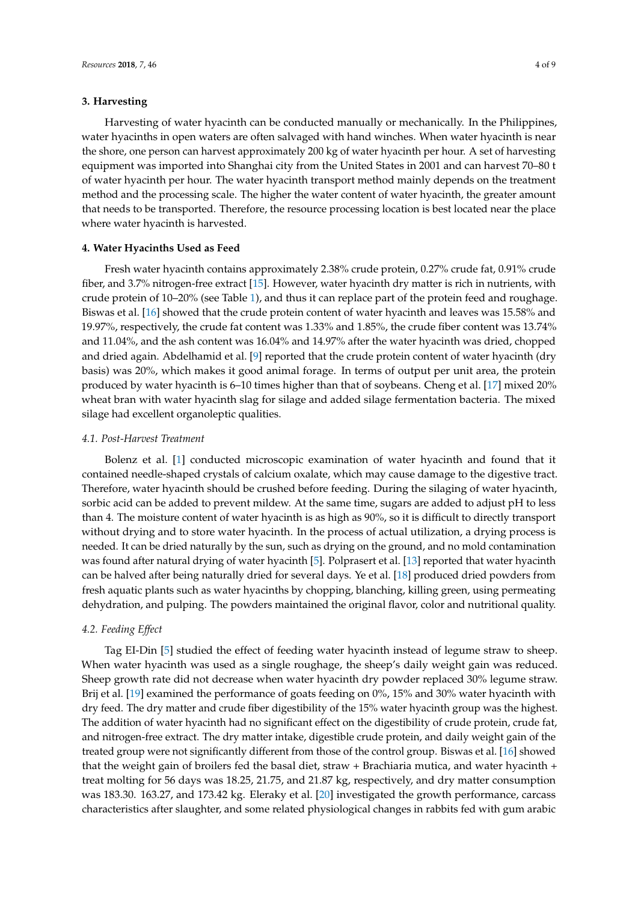#### **3. Harvesting**

Harvesting of water hyacinth can be conducted manually or mechanically. In the Philippines, water hyacinths in open waters are often salvaged with hand winches. When water hyacinth is near the shore, one person can harvest approximately 200 kg of water hyacinth per hour. A set of harvesting equipment was imported into Shanghai city from the United States in 2001 and can harvest 70–80 t of water hyacinth per hour. The water hyacinth transport method mainly depends on the treatment method and the processing scale. The higher the water content of water hyacinth, the greater amount that needs to be transported. Therefore, the resource processing location is best located near the place where water hyacinth is harvested.

#### **4. Water Hyacinths Used as Feed**

Fresh water hyacinth contains approximately 2.38% crude protein, 0.27% crude fat, 0.91% crude fiber, and 3.7% nitrogen-free extract [\[15\]](#page-7-17). However, water hyacinth dry matter is rich in nutrients, with crude protein of 10–20% (see Table [1\)](#page-2-0), and thus it can replace part of the protein feed and roughage. Biswas et al. [\[16\]](#page-7-18) showed that the crude protein content of water hyacinth and leaves was 15.58% and 19.97%, respectively, the crude fat content was 1.33% and 1.85%, the crude fiber content was 13.74% and 11.04%, and the ash content was 16.04% and 14.97% after the water hyacinth was dried, chopped and dried again. Abdelhamid et al. [\[9\]](#page-7-7) reported that the crude protein content of water hyacinth (dry basis) was 20%, which makes it good animal forage. In terms of output per unit area, the protein produced by water hyacinth is 6–10 times higher than that of soybeans. Cheng et al. [\[17\]](#page-7-19) mixed 20% wheat bran with water hyacinth slag for silage and added silage fermentation bacteria. The mixed silage had excellent organoleptic qualities.

#### *4.1. Post-Harvest Treatment*

Bolenz et al. [\[1\]](#page-7-0) conducted microscopic examination of water hyacinth and found that it contained needle-shaped crystals of calcium oxalate, which may cause damage to the digestive tract. Therefore, water hyacinth should be crushed before feeding. During the silaging of water hyacinth, sorbic acid can be added to prevent mildew. At the same time, sugars are added to adjust pH to less than 4. The moisture content of water hyacinth is as high as 90%, so it is difficult to directly transport without drying and to store water hyacinth. In the process of actual utilization, a drying process is needed. It can be dried naturally by the sun, such as drying on the ground, and no mold contamination was found after natural drying of water hyacinth [\[5\]](#page-7-3). Polprasert et al. [\[13\]](#page-7-20) reported that water hyacinth can be halved after being naturally dried for several days. Ye et al. [\[18\]](#page-7-21) produced dried powders from fresh aquatic plants such as water hyacinths by chopping, blanching, killing green, using permeating dehydration, and pulping. The powders maintained the original flavor, color and nutritional quality.

#### *4.2. Feeding Effect*

Tag EI-Din [\[5\]](#page-7-3) studied the effect of feeding water hyacinth instead of legume straw to sheep. When water hyacinth was used as a single roughage, the sheep's daily weight gain was reduced. Sheep growth rate did not decrease when water hyacinth dry powder replaced 30% legume straw. Brij et al. [\[19\]](#page-7-22) examined the performance of goats feeding on 0%, 15% and 30% water hyacinth with dry feed. The dry matter and crude fiber digestibility of the 15% water hyacinth group was the highest. The addition of water hyacinth had no significant effect on the digestibility of crude protein, crude fat, and nitrogen-free extract. The dry matter intake, digestible crude protein, and daily weight gain of the treated group were not significantly different from those of the control group. Biswas et al. [\[16\]](#page-7-18) showed that the weight gain of broilers fed the basal diet, straw + Brachiaria mutica, and water hyacinth + treat molting for 56 days was 18.25, 21.75, and 21.87 kg, respectively, and dry matter consumption was 183.30. 163.27, and 173.42 kg. Eleraky et al. [\[20\]](#page-7-23) investigated the growth performance, carcass characteristics after slaughter, and some related physiological changes in rabbits fed with gum arabic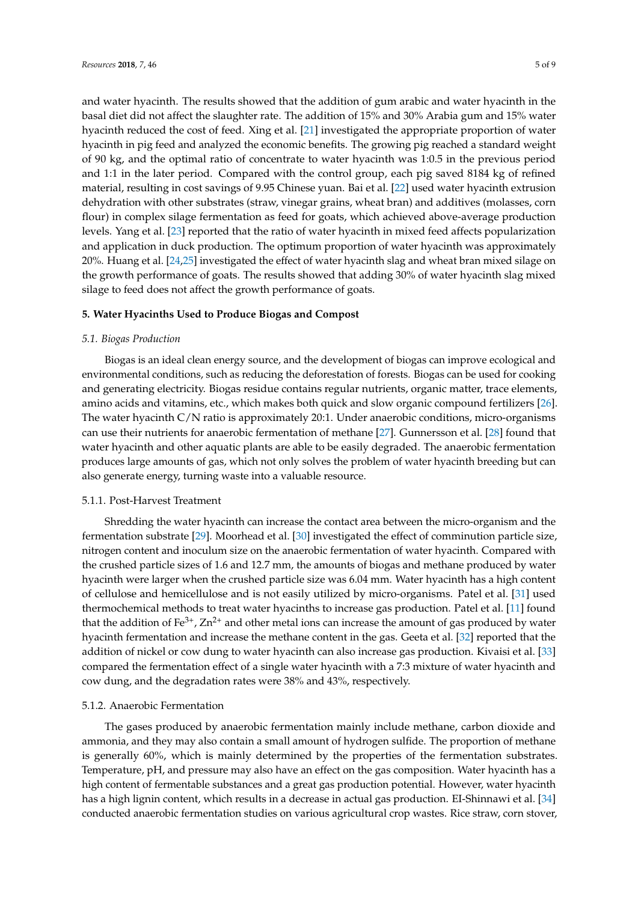and water hyacinth. The results showed that the addition of gum arabic and water hyacinth in the basal diet did not affect the slaughter rate. The addition of 15% and 30% Arabia gum and 15% water hyacinth reduced the cost of feed. Xing et al. [\[21\]](#page-7-24) investigated the appropriate proportion of water hyacinth in pig feed and analyzed the economic benefits. The growing pig reached a standard weight of 90 kg, and the optimal ratio of concentrate to water hyacinth was 1:0.5 in the previous period and 1:1 in the later period. Compared with the control group, each pig saved 8184 kg of refined material, resulting in cost savings of 9.95 Chinese yuan. Bai et al. [\[22\]](#page-7-25) used water hyacinth extrusion dehydration with other substrates (straw, vinegar grains, wheat bran) and additives (molasses, corn flour) in complex silage fermentation as feed for goats, which achieved above-average production levels. Yang et al. [\[23\]](#page-8-0) reported that the ratio of water hyacinth in mixed feed affects popularization and application in duck production. The optimum proportion of water hyacinth was approximately 20%. Huang et al. [\[24](#page-8-1)[,25\]](#page-8-2) investigated the effect of water hyacinth slag and wheat bran mixed silage on the growth performance of goats. The results showed that adding 30% of water hyacinth slag mixed silage to feed does not affect the growth performance of goats.

#### **5. Water Hyacinths Used to Produce Biogas and Compost**

#### *5.1. Biogas Production*

Biogas is an ideal clean energy source, and the development of biogas can improve ecological and environmental conditions, such as reducing the deforestation of forests. Biogas can be used for cooking and generating electricity. Biogas residue contains regular nutrients, organic matter, trace elements, amino acids and vitamins, etc., which makes both quick and slow organic compound fertilizers [\[26\]](#page-8-3). The water hyacinth C/N ratio is approximately 20:1. Under anaerobic conditions, micro-organisms can use their nutrients for anaerobic fermentation of methane [\[27\]](#page-8-4). Gunnersson et al. [\[28\]](#page-8-5) found that water hyacinth and other aquatic plants are able to be easily degraded. The anaerobic fermentation produces large amounts of gas, which not only solves the problem of water hyacinth breeding but can also generate energy, turning waste into a valuable resource.

#### 5.1.1. Post-Harvest Treatment

Shredding the water hyacinth can increase the contact area between the micro-organism and the fermentation substrate [\[29\]](#page-8-6). Moorhead et al. [\[30\]](#page-8-7) investigated the effect of comminution particle size, nitrogen content and inoculum size on the anaerobic fermentation of water hyacinth. Compared with the crushed particle sizes of 1.6 and 12.7 mm, the amounts of biogas and methane produced by water hyacinth were larger when the crushed particle size was 6.04 mm. Water hyacinth has a high content of cellulose and hemicellulose and is not easily utilized by micro-organisms. Patel et al. [\[31\]](#page-8-8) used thermochemical methods to treat water hyacinths to increase gas production. Patel et al. [\[11\]](#page-7-26) found that the addition of  $Fe^{3+}$ ,  $Zn^{2+}$  and other metal ions can increase the amount of gas produced by water hyacinth fermentation and increase the methane content in the gas. Geeta et al. [\[32\]](#page-8-9) reported that the addition of nickel or cow dung to water hyacinth can also increase gas production. Kivaisi et al. [\[33\]](#page-8-10) compared the fermentation effect of a single water hyacinth with a 7:3 mixture of water hyacinth and cow dung, and the degradation rates were 38% and 43%, respectively.

#### 5.1.2. Anaerobic Fermentation

The gases produced by anaerobic fermentation mainly include methane, carbon dioxide and ammonia, and they may also contain a small amount of hydrogen sulfide. The proportion of methane is generally 60%, which is mainly determined by the properties of the fermentation substrates. Temperature, pH, and pressure may also have an effect on the gas composition. Water hyacinth has a high content of fermentable substances and a great gas production potential. However, water hyacinth has a high lignin content, which results in a decrease in actual gas production. EI-Shinnawi et al. [\[34\]](#page-8-11) conducted anaerobic fermentation studies on various agricultural crop wastes. Rice straw, corn stover,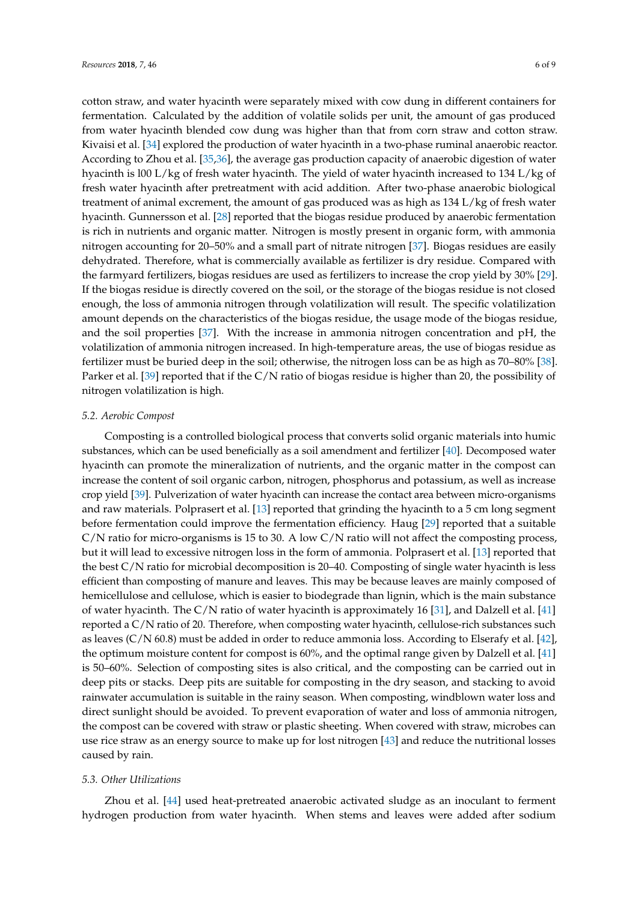cotton straw, and water hyacinth were separately mixed with cow dung in different containers for fermentation. Calculated by the addition of volatile solids per unit, the amount of gas produced from water hyacinth blended cow dung was higher than that from corn straw and cotton straw. Kivaisi et al. [\[34\]](#page-8-11) explored the production of water hyacinth in a two-phase ruminal anaerobic reactor. According to Zhou et al. [\[35](#page-8-12)[,36\]](#page-8-13), the average gas production capacity of anaerobic digestion of water hyacinth is l00 L/kg of fresh water hyacinth. The yield of water hyacinth increased to 134 L/kg of fresh water hyacinth after pretreatment with acid addition. After two-phase anaerobic biological treatment of animal excrement, the amount of gas produced was as high as 134 L/kg of fresh water hyacinth. Gunnersson et al. [\[28\]](#page-8-5) reported that the biogas residue produced by anaerobic fermentation is rich in nutrients and organic matter. Nitrogen is mostly present in organic form, with ammonia nitrogen accounting for 20–50% and a small part of nitrate nitrogen [\[37\]](#page-8-14). Biogas residues are easily dehydrated. Therefore, what is commercially available as fertilizer is dry residue. Compared with the farmyard fertilizers, biogas residues are used as fertilizers to increase the crop yield by 30% [\[29\]](#page-8-6). If the biogas residue is directly covered on the soil, or the storage of the biogas residue is not closed enough, the loss of ammonia nitrogen through volatilization will result. The specific volatilization amount depends on the characteristics of the biogas residue, the usage mode of the biogas residue, and the soil properties [\[37\]](#page-8-14). With the increase in ammonia nitrogen concentration and pH, the volatilization of ammonia nitrogen increased. In high-temperature areas, the use of biogas residue as fertilizer must be buried deep in the soil; otherwise, the nitrogen loss can be as high as 70–80% [\[38\]](#page-8-15). Parker et al. [\[39\]](#page-8-16) reported that if the C/N ratio of biogas residue is higher than 20, the possibility of nitrogen volatilization is high.

#### *5.2. Aerobic Compost*

Composting is a controlled biological process that converts solid organic materials into humic substances, which can be used beneficially as a soil amendment and fertilizer [\[40\]](#page-8-17). Decomposed water hyacinth can promote the mineralization of nutrients, and the organic matter in the compost can increase the content of soil organic carbon, nitrogen, phosphorus and potassium, as well as increase crop yield [\[39\]](#page-8-16). Pulverization of water hyacinth can increase the contact area between micro-organisms and raw materials. Polprasert et al. [\[13\]](#page-7-20) reported that grinding the hyacinth to a 5 cm long segment before fermentation could improve the fermentation efficiency. Haug [\[29\]](#page-8-6) reported that a suitable C/N ratio for micro-organisms is 15 to 30. A low C/N ratio will not affect the composting process, but it will lead to excessive nitrogen loss in the form of ammonia. Polprasert et al. [\[13\]](#page-7-20) reported that the best C/N ratio for microbial decomposition is 20–40. Composting of single water hyacinth is less efficient than composting of manure and leaves. This may be because leaves are mainly composed of hemicellulose and cellulose, which is easier to biodegrade than lignin, which is the main substance of water hyacinth. The C/N ratio of water hyacinth is approximately 16 [\[31\]](#page-8-8), and Dalzell et al. [\[41\]](#page-8-18) reported a C/N ratio of 20. Therefore, when composting water hyacinth, cellulose-rich substances such as leaves (C/N 60.8) must be added in order to reduce ammonia loss. According to Elserafy et al. [\[42\]](#page-8-19), the optimum moisture content for compost is 60%, and the optimal range given by Dalzell et al. [\[41\]](#page-8-18) is 50–60%. Selection of composting sites is also critical, and the composting can be carried out in deep pits or stacks. Deep pits are suitable for composting in the dry season, and stacking to avoid rainwater accumulation is suitable in the rainy season. When composting, windblown water loss and direct sunlight should be avoided. To prevent evaporation of water and loss of ammonia nitrogen, the compost can be covered with straw or plastic sheeting. When covered with straw, microbes can use rice straw as an energy source to make up for lost nitrogen [\[43\]](#page-8-20) and reduce the nutritional losses caused by rain.

## *5.3. Other Utilizations*

Zhou et al. [\[44\]](#page-8-21) used heat-pretreated anaerobic activated sludge as an inoculant to ferment hydrogen production from water hyacinth. When stems and leaves were added after sodium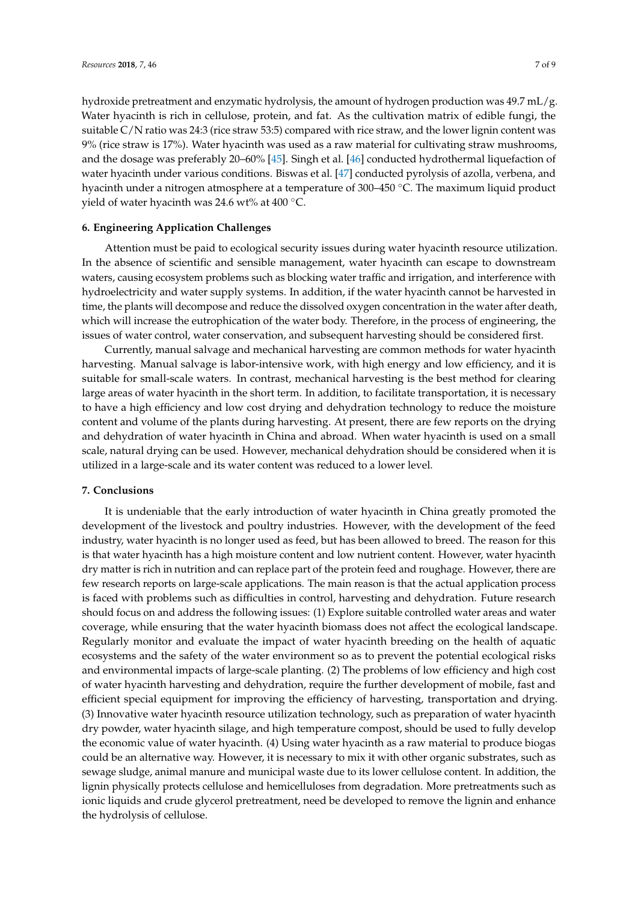hydroxide pretreatment and enzymatic hydrolysis, the amount of hydrogen production was 49.7 mL/g. Water hyacinth is rich in cellulose, protein, and fat. As the cultivation matrix of edible fungi, the suitable C/N ratio was 24:3 (rice straw 53:5) compared with rice straw, and the lower lignin content was 9% (rice straw is 17%). Water hyacinth was used as a raw material for cultivating straw mushrooms, and the dosage was preferably 20–60% [\[45\]](#page-8-22). Singh et al. [\[46\]](#page-8-23) conducted hydrothermal liquefaction of water hyacinth under various conditions. Biswas et al. [\[47\]](#page-8-24) conducted pyrolysis of azolla, verbena, and hyacinth under a nitrogen atmosphere at a temperature of 300–450 ◦C. The maximum liquid product yield of water hyacinth was 24.6 wt% at 400 ℃.

#### **6. Engineering Application Challenges**

Attention must be paid to ecological security issues during water hyacinth resource utilization. In the absence of scientific and sensible management, water hyacinth can escape to downstream waters, causing ecosystem problems such as blocking water traffic and irrigation, and interference with hydroelectricity and water supply systems. In addition, if the water hyacinth cannot be harvested in time, the plants will decompose and reduce the dissolved oxygen concentration in the water after death, which will increase the eutrophication of the water body. Therefore, in the process of engineering, the issues of water control, water conservation, and subsequent harvesting should be considered first.

Currently, manual salvage and mechanical harvesting are common methods for water hyacinth harvesting. Manual salvage is labor-intensive work, with high energy and low efficiency, and it is suitable for small-scale waters. In contrast, mechanical harvesting is the best method for clearing large areas of water hyacinth in the short term. In addition, to facilitate transportation, it is necessary to have a high efficiency and low cost drying and dehydration technology to reduce the moisture content and volume of the plants during harvesting. At present, there are few reports on the drying and dehydration of water hyacinth in China and abroad. When water hyacinth is used on a small scale, natural drying can be used. However, mechanical dehydration should be considered when it is utilized in a large-scale and its water content was reduced to a lower level.

## **7. Conclusions**

It is undeniable that the early introduction of water hyacinth in China greatly promoted the development of the livestock and poultry industries. However, with the development of the feed industry, water hyacinth is no longer used as feed, but has been allowed to breed. The reason for this is that water hyacinth has a high moisture content and low nutrient content. However, water hyacinth dry matter is rich in nutrition and can replace part of the protein feed and roughage. However, there are few research reports on large-scale applications. The main reason is that the actual application process is faced with problems such as difficulties in control, harvesting and dehydration. Future research should focus on and address the following issues: (1) Explore suitable controlled water areas and water coverage, while ensuring that the water hyacinth biomass does not affect the ecological landscape. Regularly monitor and evaluate the impact of water hyacinth breeding on the health of aquatic ecosystems and the safety of the water environment so as to prevent the potential ecological risks and environmental impacts of large-scale planting. (2) The problems of low efficiency and high cost of water hyacinth harvesting and dehydration, require the further development of mobile, fast and efficient special equipment for improving the efficiency of harvesting, transportation and drying. (3) Innovative water hyacinth resource utilization technology, such as preparation of water hyacinth dry powder, water hyacinth silage, and high temperature compost, should be used to fully develop the economic value of water hyacinth. (4) Using water hyacinth as a raw material to produce biogas could be an alternative way. However, it is necessary to mix it with other organic substrates, such as sewage sludge, animal manure and municipal waste due to its lower cellulose content. In addition, the lignin physically protects cellulose and hemicelluloses from degradation. More pretreatments such as ionic liquids and crude glycerol pretreatment, need be developed to remove the lignin and enhance the hydrolysis of cellulose.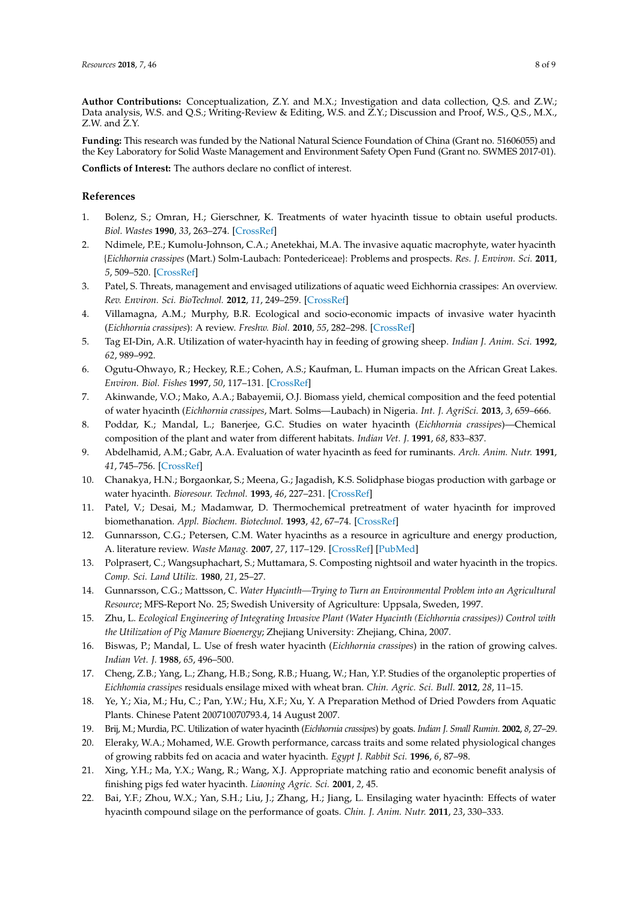<span id="page-7-10"></span>**Author Contributions:** Conceptualization, Z.Y. and M.X.; Investigation and data collection, Q.S. and Z.W.; Data analysis, W.S. and Q.S.; Writing-Review & Editing, W.S. and Z.Y.; Discussion and Proof, W.S., Q.S., M.X., Z.W. and Z.Y.

<span id="page-7-8"></span>**Funding:** This research was funded by the National Natural Science Foundation of China (Grant no. 51606055) and the Key Laboratory for Solid Waste Management and Environment Safety Open Fund (Grant no. SWMES 2017-01).

<span id="page-7-14"></span>**Conflicts of Interest:** The authors declare no conflict of interest.

# <span id="page-7-9"></span>**References**

- <span id="page-7-11"></span><span id="page-7-0"></span>1. Bolenz, S.; Omran, H.; Gierschner, K. Treatments of water hyacinth tissue to obtain useful products. *Biol. Wastes* **1990**, *33*, 263–274. [\[CrossRef\]](http://dx.doi.org/10.1016/0269-7483(90)90130-K)
- <span id="page-7-12"></span><span id="page-7-1"></span>2. Ndimele, P.E.; Kumolu-Johnson, C.A.; Anetekhai, M.A. The invasive aquatic macrophyte, water hyacinth {*Eichhornia crassipes* (Mart.) Solm-Laubach: Pontedericeae}: Problems and prospects. *Res. J. Environ. Sci.* **2011**, *5*, 509–520. [\[CrossRef\]](http://dx.doi.org/10.3923/rjes.2011.509.520)
- <span id="page-7-15"></span><span id="page-7-13"></span>3. Patel, S. Threats, management and envisaged utilizations of aquatic weed Eichhornia crassipes: An overview. *Rev. Environ. Sci. BioTechnol.* **2012**, *11*, 249–259. [\[CrossRef\]](http://dx.doi.org/10.1007/s11157-012-9289-4)
- <span id="page-7-16"></span><span id="page-7-2"></span>4. Villamagna, A.M.; Murphy, B.R. Ecological and socio-economic impacts of invasive water hyacinth (*Eichhornia crassipes*): A review. *Freshw. Biol.* **2010**, *55*, 282–298. [\[CrossRef\]](http://dx.doi.org/10.1111/j.1365-2427.2009.02294.x)
- <span id="page-7-3"></span>5. Tag EI-Din, A.R. Utilization of water-hyacinth hay in feeding of growing sheep. *Indian J. Anim. Sci.* **1992**, *62*, 989–992.
- <span id="page-7-4"></span>6. Ogutu-Ohwayo, R.; Heckey, R.E.; Cohen, A.S.; Kaufman, L. Human impacts on the African Great Lakes. *Environ. Biol. Fishes* **1997**, *50*, 117–131. [\[CrossRef\]](http://dx.doi.org/10.1023/A:1007320932349)
- <span id="page-7-5"></span>7. Akinwande, V.O.; Mako, A.A.; Babayemii, O.J. Biomass yield, chemical composition and the feed potential of water hyacinth (*Eichhornia crassipes*, Mart. Solms—Laubach) in Nigeria. *Int. J. AgriSci.* **2013**, *3*, 659–666.
- <span id="page-7-6"></span>8. Poddar, K.; Mandal, L.; Banerjee, G.C. Studies on water hyacinth (*Eichhornia crassipes*)—Chemical composition of the plant and water from different habitats. *Indian Vet. J.* **1991**, *68*, 833–837.
- <span id="page-7-7"></span>9. Abdelhamid, A.M.; Gabr, A.A. Evaluation of water hyacinth as feed for ruminants. *Arch. Anim. Nutr.* **1991**, *41*, 745–756. [\[CrossRef\]](http://dx.doi.org/10.1080/17450399109428519)
- 10. Chanakya, H.N.; Borgaonkar, S.; Meena, G.; Jagadish, K.S. Solidphase biogas production with garbage or water hyacinth. *Bioresour. Technol.* **1993**, *46*, 227–231. [\[CrossRef\]](http://dx.doi.org/10.1016/0960-8524(93)90125-U)
- <span id="page-7-26"></span>11. Patel, V.; Desai, M.; Madamwar, D. Thermochemical pretreatment of water hyacinth for improved biomethanation. *Appl. Biochem. Biotechnol.* **1993**, *42*, 67–74. [\[CrossRef\]](http://dx.doi.org/10.1007/BF02788902)
- 12. Gunnarsson, C.G.; Petersen, C.M. Water hyacinths as a resource in agriculture and energy production, A. literature review. *Waste Manag.* **2007**, *27*, 117–129. [\[CrossRef\]](http://dx.doi.org/10.1016/j.wasman.2005.12.011) [\[PubMed\]](http://www.ncbi.nlm.nih.gov/pubmed/16580191)
- <span id="page-7-20"></span>13. Polprasert, C.; Wangsuphachart, S.; Muttamara, S. Composting nightsoil and water hyacinth in the tropics. *Comp. Sci. Land Utiliz.* **1980**, *21*, 25–27.
- 14. Gunnarsson, C.G.; Mattsson, C. *Water Hyacinth—Trying to Turn an Environmental Problem into an Agricultural Resource*; MFS-Report No. 25; Swedish University of Agriculture: Uppsala, Sweden, 1997.
- <span id="page-7-17"></span>15. Zhu, L. *Ecological Engineering of Integrating Invasive Plant (Water Hyacinth (Eichhornia crassipes)) Control with the Utilization of Pig Manure Bioenergy*; Zhejiang University: Zhejiang, China, 2007.
- <span id="page-7-18"></span>16. Biswas, P.; Mandal, L. Use of fresh water hyacinth (*Eichhornia crassipes*) in the ration of growing calves. *Indian Vet. J.* **1988**, *65*, 496–500.
- <span id="page-7-19"></span>17. Cheng, Z.B.; Yang, L.; Zhang, H.B.; Song, R.B.; Huang, W.; Han, Y.P. Studies of the organoleptic properties of *Eichhomia crassipes* residuals ensilage mixed with wheat bran. *Chin. Agric. Sci. Bull.* **2012**, *28*, 11–15.
- <span id="page-7-21"></span>18. Ye, Y.; Xia, M.; Hu, C.; Pan, Y.W.; Hu, X.F.; Xu, Y. A Preparation Method of Dried Powders from Aquatic Plants. Chinese Patent 200710070793.4, 14 August 2007.
- <span id="page-7-22"></span>19. Brij, M.; Murdia, P.C. Utilization of water hyacinth (*Eichhornia crassipes*) by goats. *Indian J. Small Rumin.* **2002**, *8*, 27–29.
- <span id="page-7-23"></span>20. Eleraky, W.A.; Mohamed, W.E. Growth performance, carcass traits and some related physiological changes of growing rabbits fed on acacia and water hyacinth. *Egypt J. Rabbit Sci.* **1996**, *6*, 87–98.
- <span id="page-7-24"></span>21. Xing, Y.H.; Ma, Y.X.; Wang, R.; Wang, X.J. Appropriate matching ratio and economic benefit analysis of finishing pigs fed water hyacinth. *Liaoning Agric. Sci.* **2001**, *2*, 45.
- <span id="page-7-25"></span>22. Bai, Y.F.; Zhou, W.X.; Yan, S.H.; Liu, J.; Zhang, H.; Jiang, L. Ensilaging water hyacinth: Effects of water hyacinth compound silage on the performance of goats. *Chin. J. Anim. Nutr.* **2011**, *23*, 330–333.